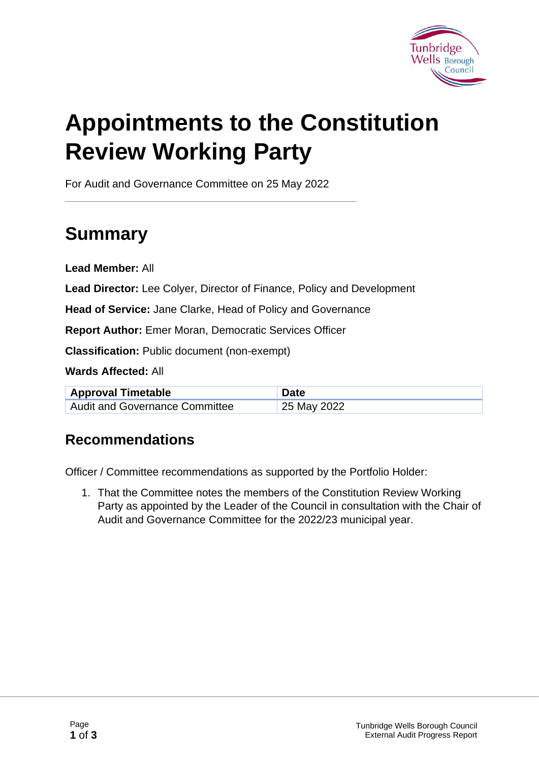

# **Appointments to the Constitution Review Working Party**

For Audit and Governance Committee on 25 May 2022

# **Summary**

**Lead Member:** All

**Lead Director:** Lee Colyer, Director of Finance, Policy and Development

**Head of Service:** Jane Clarke, Head of Policy and Governance

**Report Author:** Emer Moran, Democratic Services Officer

**Classification:** Public document (non-exempt)

**Wards Affected:** All

| <b>Approval Timetable</b>      | <b>Date</b> |
|--------------------------------|-------------|
| Audit and Governance Committee | 25 May 2022 |

#### **Recommendations**

Officer / Committee recommendations as supported by the Portfolio Holder:

1. That the Committee notes the members of the Constitution Review Working Party as appointed by the Leader of the Council in consultation with the Chair of Audit and Governance Committee for the 2022/23 municipal year.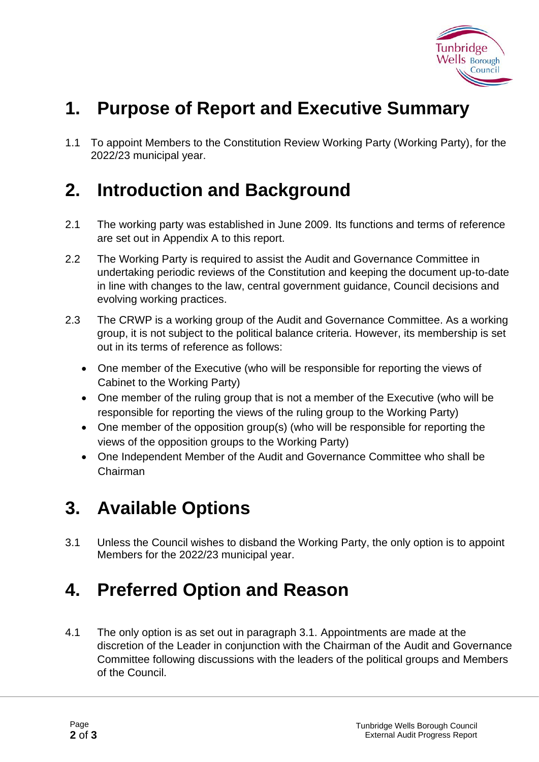

### **1. Purpose of Report and Executive Summary**

1.1 To appoint Members to the Constitution Review Working Party (Working Party), for the 2022/23 municipal year.

#### **2. Introduction and Background**

- 2.1 The working party was established in June 2009. Its functions and terms of reference are set out in Appendix A to this report.
- 2.2 The Working Party is required to assist the Audit and Governance Committee in undertaking periodic reviews of the Constitution and keeping the document up-to-date in line with changes to the law, central government guidance, Council decisions and evolving working practices.
- 2.3 The CRWP is a working group of the Audit and Governance Committee. As a working group, it is not subject to the political balance criteria. However, its membership is set out in its terms of reference as follows:
	- One member of the Executive (who will be responsible for reporting the views of Cabinet to the Working Party)
	- One member of the ruling group that is not a member of the Executive (who will be responsible for reporting the views of the ruling group to the Working Party)
	- One member of the opposition group(s) (who will be responsible for reporting the views of the opposition groups to the Working Party)
	- One Independent Member of the Audit and Governance Committee who shall be Chairman

## **3. Available Options**

3.1 Unless the Council wishes to disband the Working Party, the only option is to appoint Members for the 2022/23 municipal year.

#### **4. Preferred Option and Reason**

4.1 The only option is as set out in paragraph 3.1. Appointments are made at the discretion of the Leader in conjunction with the Chairman of the Audit and Governance Committee following discussions with the leaders of the political groups and Members of the Council.